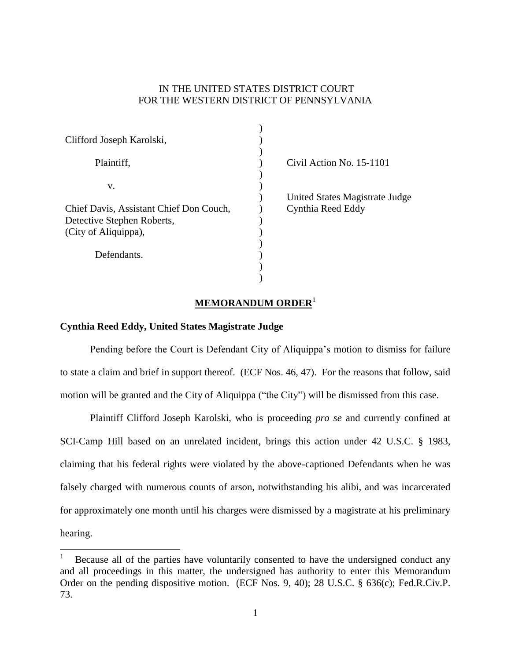## IN THE UNITED STATES DISTRICT COURT FOR THE WESTERN DISTRICT OF PENNSYLVANIA

| Clifford Joseph Karolski,               |                                |
|-----------------------------------------|--------------------------------|
|                                         |                                |
| Plaintiff,                              | Civil Action No. 15-1101       |
| v.                                      |                                |
|                                         | United States Magistrate Judge |
| Chief Davis, Assistant Chief Don Couch, | Cynthia Reed Eddy              |
| Detective Stephen Roberts,              |                                |
| (City of Aliquippa),                    |                                |
|                                         |                                |
| Defendants.                             |                                |
|                                         |                                |
|                                         |                                |

## **MEMORANDUM ORDER**<sup>1</sup>

## **Cynthia Reed Eddy, United States Magistrate Judge**

 $\overline{a}$ 

Pending before the Court is Defendant City of Aliquippa's motion to dismiss for failure to state a claim and brief in support thereof. (ECF Nos. 46, 47). For the reasons that follow, said motion will be granted and the City of Aliquippa ("the City") will be dismissed from this case.

Plaintiff Clifford Joseph Karolski, who is proceeding *pro se* and currently confined at SCI-Camp Hill based on an unrelated incident, brings this action under 42 U.S.C. § 1983, claiming that his federal rights were violated by the above-captioned Defendants when he was falsely charged with numerous counts of arson, notwithstanding his alibi, and was incarcerated for approximately one month until his charges were dismissed by a magistrate at his preliminary hearing.

Because all of the parties have voluntarily consented to have the undersigned conduct any and all proceedings in this matter, the undersigned has authority to enter this Memorandum Order on the pending dispositive motion. (ECF Nos. 9, 40); 28 U.S.C. § 636(c); Fed.R.Civ.P. 73.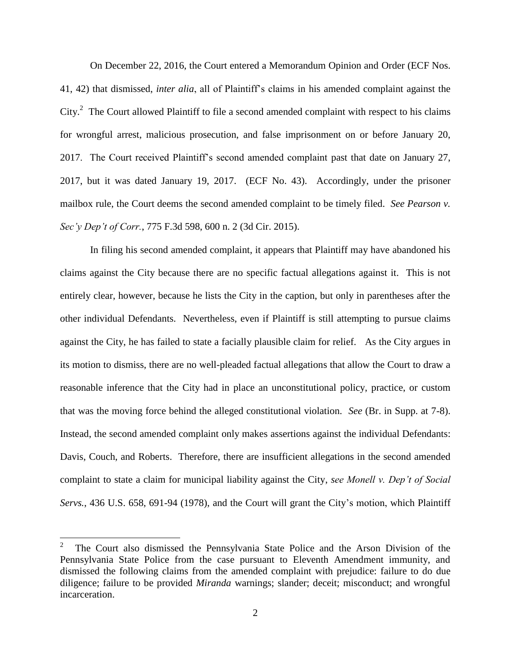On December 22, 2016, the Court entered a Memorandum Opinion and Order (ECF Nos. 41, 42) that dismissed, *inter alia*, all of Plaintiff's claims in his amended complaint against the City. $^2$  The Court allowed Plaintiff to file a second amended complaint with respect to his claims for wrongful arrest, malicious prosecution, and false imprisonment on or before January 20, 2017. The Court received Plaintiff's second amended complaint past that date on January 27, 2017, but it was dated January 19, 2017. (ECF No. 43). Accordingly, under the prisoner mailbox rule, the Court deems the second amended complaint to be timely filed. *See Pearson v. Sec'y Dep't of Corr.*, 775 F.3d 598, 600 n. 2 (3d Cir. 2015).

In filing his second amended complaint, it appears that Plaintiff may have abandoned his claims against the City because there are no specific factual allegations against it. This is not entirely clear, however, because he lists the City in the caption, but only in parentheses after the other individual Defendants. Nevertheless, even if Plaintiff is still attempting to pursue claims against the City, he has failed to state a facially plausible claim for relief. As the City argues in its motion to dismiss, there are no well-pleaded factual allegations that allow the Court to draw a reasonable inference that the City had in place an unconstitutional policy, practice, or custom that was the moving force behind the alleged constitutional violation. *See* (Br. in Supp. at 7-8). Instead, the second amended complaint only makes assertions against the individual Defendants: Davis, Couch, and Roberts. Therefore, there are insufficient allegations in the second amended complaint to state a claim for municipal liability against the City, *see Monell v. Dep't of Social Servs.*, 436 U.S. 658, 691-94 (1978), and the Court will grant the City's motion, which Plaintiff

 $\overline{a}$ 

<sup>2</sup> The Court also dismissed the Pennsylvania State Police and the Arson Division of the Pennsylvania State Police from the case pursuant to Eleventh Amendment immunity, and dismissed the following claims from the amended complaint with prejudice: failure to do due diligence; failure to be provided *Miranda* warnings; slander; deceit; misconduct; and wrongful incarceration.